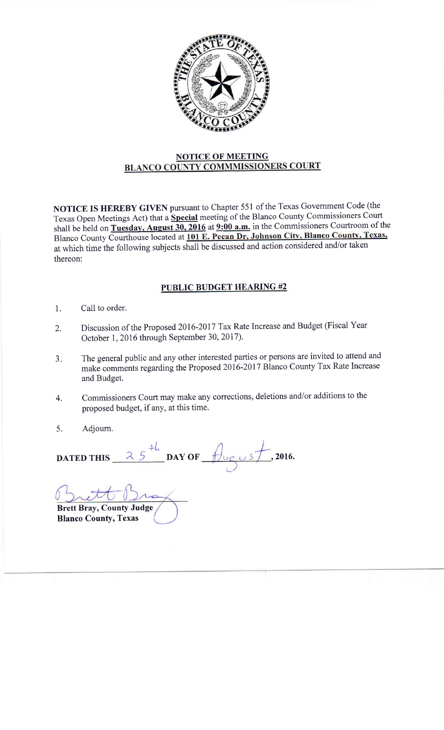

## NOTICE OF MEETING<br>BLANCO COUNTY COMMMISSIONERS COURT

NOTICE IS HEREBY GIVEN pursuant to chapter 551 of the Texas Government code (the Texas Open Meetings Act) that a Special meeting of the Blanco County Commissioners Court shall be held on Tuesday, August 30, 2016 at  $9:00$  a.m. in the Commissioners Courtroom of the Blanco County Courthouse located at 101 E. Pecan Dr, Johnson City, Blanco County, Texas, at which time the following subjects shall be discussed and action considered and/or taken thereon:

## PUBLIC BUDGET HEARING #2

- Call to order. 1.
- Discussion of the Proposed 2016-2017 Tax Rate Increase and Budget (Fiscal Year October 1,2016 through September 30,2017). 2.
- The general public and any other interested parties or persons are invited to attend and make comments regarding the Proposed 2016-2017 Blanco County Tax Rate Increase and Budget.  $3.$
- Commissioners Court may make any corrections, deletions and/or additions to the proposed budget, if any, at this time. 4.
- Adjoum. 5.

DATED THIS  $25<sup>44</sup>$  DAY OF  $\frac{4}{100}$   $\frac{1}{2016}$ .

Brett Bray, County Judge Blanco County, Texas